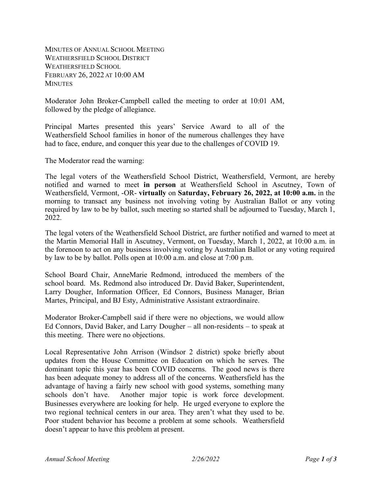MINUTES OF ANNUAL SCHOOL MEETING WEATHERSFIELD SCHOOL DISTRICT WEATHERSFIELD SCHOOL FEBRUARY 26, 2022 AT 10:00 AM **MINUTES** 

Moderator John Broker-Campbell called the meeting to order at 10:01 AM, followed by the pledge of allegiance.

Principal Martes presented this years' Service Award to all of the Weathersfield School families in honor of the numerous challenges they have had to face, endure, and conquer this year due to the challenges of COVID 19.

The Moderator read the warning:

The legal voters of the Weathersfield School District, Weathersfield, Vermont, are hereby notified and warned to meet **in person** at Weathersfield School in Ascutney, Town of Weathersfield, Vermont, -OR- **virtually** on **Saturday, February 26, 2022, at 10:00 a.m.** in the morning to transact any business not involving voting by Australian Ballot or any voting required by law to be by ballot, such meeting so started shall be adjourned to Tuesday, March 1, 2022.

The legal voters of the Weathersfield School District, are further notified and warned to meet at the Martin Memorial Hall in Ascutney, Vermont, on Tuesday, March 1, 2022, at 10:00 a.m. in the forenoon to act on any business involving voting by Australian Ballot or any voting required by law to be by ballot. Polls open at 10:00 a.m. and close at 7:00 p.m.

School Board Chair, AnneMarie Redmond, introduced the members of the school board. Ms. Redmond also introduced Dr. David Baker, Superintendent, Larry Dougher, Information Officer, Ed Connors, Business Manager, Brian Martes, Principal, and BJ Esty, Administrative Assistant extraordinaire.

Moderator Broker-Campbell said if there were no objections, we would allow Ed Connors, David Baker, and Larry Dougher – all non-residents – to speak at this meeting. There were no objections.

Local Representative John Arrison (Windsor 2 district) spoke briefly about updates from the House Committee on Education on which he serves. The dominant topic this year has been COVID concerns. The good news is there has been adequate money to address all of the concerns. Weathersfield has the advantage of having a fairly new school with good systems, something many schools don't have. Another major topic is work force development. Businesses everywhere are looking for help. He urged everyone to explore the two regional technical centers in our area. They aren't what they used to be. Poor student behavior has become a problem at some schools. Weathersfield doesn't appear to have this problem at present.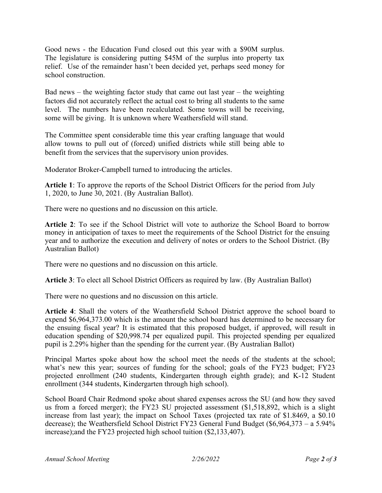Good news - the Education Fund closed out this year with a \$90M surplus. The legislature is considering putting \$45M of the surplus into property tax relief. Use of the remainder hasn't been decided yet, perhaps seed money for school construction.

Bad news – the weighting factor study that came out last year – the weighting factors did not accurately reflect the actual cost to bring all students to the same level. The numbers have been recalculated. Some towns will be receiving, some will be giving. It is unknown where Weathersfield will stand.

The Committee spent considerable time this year crafting language that would allow towns to pull out of (forced) unified districts while still being able to benefit from the services that the supervisory union provides.

Moderator Broker-Campbell turned to introducing the articles.

**Article 1**: To approve the reports of the School District Officers for the period from July 1, 2020, to June 30, 2021. (By Australian Ballot).

There were no questions and no discussion on this article.

**Article 2**: To see if the School District will vote to authorize the School Board to borrow money in anticipation of taxes to meet the requirements of the School District for the ensuing year and to authorize the execution and delivery of notes or orders to the School District. (By Australian Ballot)

There were no questions and no discussion on this article.

**Article 3**: To elect all School District Officers as required by law. (By Australian Ballot)

There were no questions and no discussion on this article.

**Article 4**: Shall the voters of the Weathersfield School District approve the school board to expend \$6,964,373.00 which is the amount the school board has determined to be necessary for the ensuing fiscal year? It is estimated that this proposed budget, if approved, will result in education spending of \$20,998.74 per equalized pupil. This projected spending per equalized pupil is 2.29% higher than the spending for the current year. (By Australian Ballot)

Principal Martes spoke about how the school meet the needs of the students at the school; what's new this year; sources of funding for the school; goals of the FY23 budget; FY23 projected enrollment (240 students, Kindergarten through eighth grade); and K-12 Student enrollment (344 students, Kindergarten through high school).

School Board Chair Redmond spoke about shared expenses across the SU (and how they saved us from a forced merger); the FY23 SU projected assessment (\$1,518,892, which is a slight increase from last year); the impact on School Taxes (projected tax rate of \$1.8469, a \$0.10 decrease); the Weathersfield School District FY23 General Fund Budget (\$6,964,373 – a 5.94% increase);and the FY23 projected high school tuition (\$2,133,407).